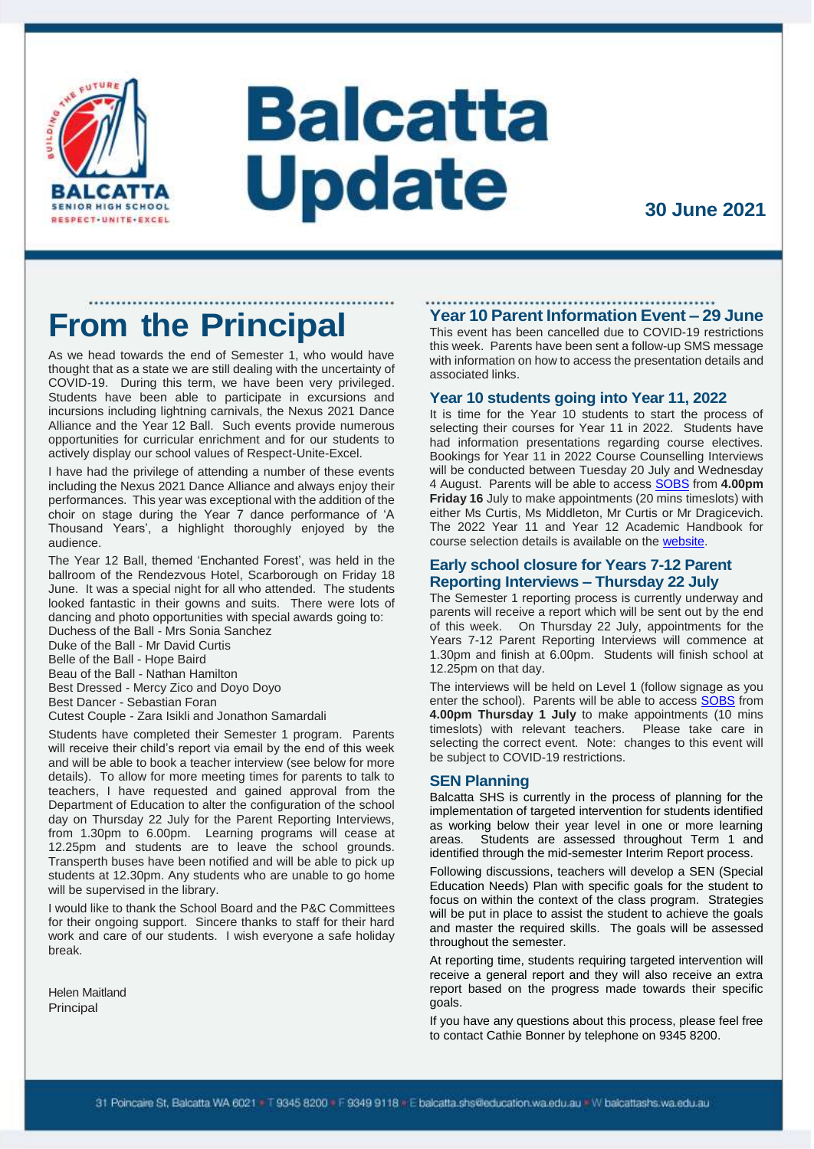

# **Balcatta Update**

## **From the Principal**

As we head towards the end of Semester 1, who would have thought that as a state we are still dealing with the uncertainty of COVID-19. During this term, we have been very privileged. Students have been able to participate in excursions and incursions including lightning carnivals, the Nexus 2021 Dance Alliance and the Year 12 Ball. Such events provide numerous opportunities for curricular enrichment and for our students to actively display our school values of Respect-Unite-Excel.

I have had the privilege of attending a number of these events including the Nexus 2021 Dance Alliance and always enjoy their performances. This year was exceptional with the addition of the choir on stage during the Year 7 dance performance of 'A Thousand Years', a highlight thoroughly enjoyed by the audience.

The Year 12 Ball, themed 'Enchanted Forest', was held in the ballroom of the Rendezvous Hotel, Scarborough on Friday 18 June. It was a special night for all who attended. The students looked fantastic in their gowns and suits. There were lots of dancing and photo opportunities with special awards going to:

Duchess of the Ball - Mrs Sonia Sanchez Duke of the Ball - Mr David Curtis

Belle of the Ball - Hope Baird

Beau of the Ball - Nathan Hamilton Best Dressed - Mercy Zico and Doyo Doyo

Best Dancer - Sebastian Foran

Cutest Couple - Zara Isikli and Jonathon Samardali

Students have completed their Semester 1 program. Parents will receive their child's report via email by the end of this week and will be able to book a teacher interview (see below for more details). To allow for more meeting times for parents to talk to teachers, I have requested and gained approval from the Department of Education to alter the configuration of the school day on Thursday 22 July for the Parent Reporting Interviews, from 1.30pm to 6.00pm. Learning programs will cease at 12.25pm and students are to leave the school grounds. Transperth buses have been notified and will be able to pick up students at 12.30pm. Any students who are unable to go home will be supervised in the library.

I would like to thank the School Board and the P&C Committees for their ongoing support. Sincere thanks to staff for their hard work and care of our students. I wish everyone a safe holiday break.

Helen Maitland Principal

#### **Year 10 Parent Information Event – 29 June**

This event has been cancelled due to COVID-19 restrictions this week. Parents have been sent a follow-up SMS message with information on how to access the presentation details and associated links.

#### **Year 10 students going into Year 11, 2022**

It is time for the Year 10 students to start the process of selecting their courses for Year 11 in 2022. Students have had information presentations regarding course electives. Bookings for Year 11 in 2022 Course Counselling Interviews will be conducted between Tuesday 20 July and Wednesday 4 August. Parents will be able to acces[s SOBS](https://sobs.com.au/pt3/parent.php?schoolid=536) from **4.00pm Friday 16** July to make appointments (20 mins timeslots) with either Ms Curtis, Ms Middleton, Mr Curtis or Mr Dragicevich. The 2022 Year 11 and Year 12 Academic Handbook for course selection details is available on the [website.](https://balcattashs.wa.edu.au/wp-content/uploads/2021/06/Year-11-and-Year-12-Academic-Handbook-2022.pdf)

#### **Early school closure for Years 7-12 Parent Reporting Interviews – Thursday 22 July**

The Semester 1 reporting process is currently underway and parents will receive a report which will be sent out by the end of this week. On Thursday 22 July, appointments for the Years 7-12 Parent Reporting Interviews will commence at 1.30pm and finish at 6.00pm. Students will finish school at 12.25pm on that day.

The interviews will be held on Level 1 (follow signage as you enter the school). Parents will be able to access [SOBS](https://sobs.com.au/pt3/parent.php?schoolid=536) from **4.00pm Thursday 1 July** to make appointments (10 mins timeslots) with relevant teachers. Please take care in selecting the correct event. Note: changes to this event will be subject to COVID-19 restrictions.

#### **SEN Planning**

Balcatta SHS is currently in the process of planning for the implementation of targeted intervention for students identified as working below their year level in one or more learning areas. Students are assessed throughout Term 1 and identified through the mid-semester Interim Report process.

Following discussions, teachers will develop a SEN (Special Education Needs) Plan with specific goals for the student to focus on within the context of the class program. Strategies will be put in place to assist the student to achieve the goals and master the required skills. The goals will be assessed throughout the semester.

At reporting time, students requiring targeted intervention will receive a general report and they will also receive an extra report based on the progress made towards their specific goals.

If you have any questions about this process, please feel free to contact Cathie Bonner by telephone on 9345 8200.